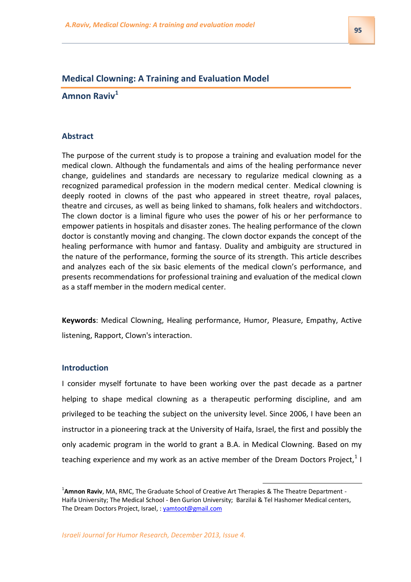# **Medical Clowning: A Training and Evaluation Model**

**Amnon Raviv<sup>1</sup>**

### **Abstract**

The purpose of the current study is to propose a training and evaluation model for the medical clown. Although the fundamentals and aims of the healing performance never change, guidelines and standards are necessary to regularize medical clowning as a recognized paramedical profession in the modern medical center. Medical clowning is deeply rooted in clowns of the past who appeared in street theatre, royal palaces, theatre and circuses, as well as being linked to shamans, folk healers and witchdoctors. The clown doctor is a liminal figure who uses the power of his or her performance to empower patients in hospitals and disaster zones. The healing performance of the clown doctor is constantly moving and changing. The clown doctor expands the concept of the healing performance with humor and fantasy. Duality and ambiguity are structured in the nature of the performance, forming the source of its strength. This article describes and analyzes each of the six basic elements of the medical clown's performance, and presents recommendations for professional training and evaluation of the medical clown as a staff member in the modern medical center.

**Keywords**: Medical Clowning, Healing performance, Humor, Pleasure, Empathy, Active listening, Rapport, Clown's interaction.

# **Introduction**

I consider myself fortunate to have been working over the past decade as a partner helping to shape medical clowning as a therapeutic performing discipline, and am privileged to be teaching the subject on the university level. Since 2006, I have been an instructor in a pioneering track at the University of Haifa, Israel, the first and possibly the only academic program in the world to grant a B.A. in Medical Clowning. Based on my teaching experience and my work as an active member of the Dream Doctors Project,  $1$  I

1

<sup>&</sup>lt;sup>1</sup>Amnon Raviv, MA, RMC, The Graduate School of Creative Art Therapies & The Theatre Department -Haifa University; The Medical School - Ben Gurion University; Barzilai & Tel Hashomer Medical centers, The Dream Doctors Project, Israel, [: yamtoot@gmail.com](mailto:yamtoot@gmail.com)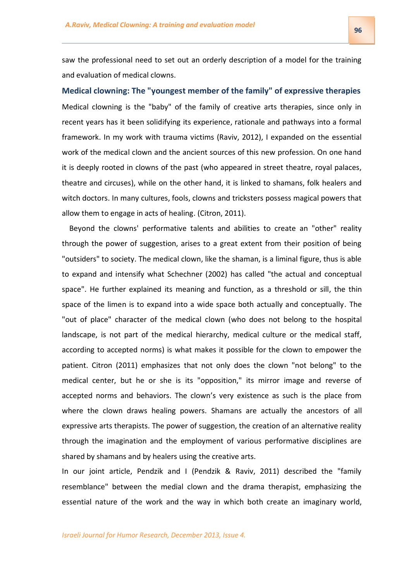saw the professional need to set out an orderly description of a model for the training and evaluation of medical clowns.

**Medical clowning: The "youngest member of the family" of expressive therapies**  Medical clowning is the "baby" of the family of creative arts therapies, since only in recent years has it been solidifying its experience, rationale and pathways into a formal framework. In my work with trauma victims (Raviv, 2012), I expanded on the essential work of the medical clown and the ancient sources of this new profession. On one hand it is deeply rooted in clowns of the past (who appeared in street theatre, royal palaces, theatre and circuses), while on the other hand, it is linked to shamans, folk healers and witch doctors. In many cultures, fools, clowns and tricksters possess magical powers that allow them to engage in acts of healing. (Citron, 2011).

 Beyond the clowns' performative talents and abilities to create an "other" reality through the power of suggestion, arises to a great extent from their position of being "outsiders" to society. The medical clown, like the shaman, is a liminal figure, thus is able to expand and intensify what Schechner (2002) has called "the actual and conceptual space". He further explained its meaning and function, as a threshold or sill, the thin space of the limen is to expand into a wide space both actually and conceptually. The "out of place" character of the medical clown (who does not belong to the hospital landscape, is not part of the medical hierarchy, medical culture or the medical staff, according to accepted norms) is what makes it possible for the clown to empower the patient. Citron (2011) emphasizes that not only does the clown "not belong" to the medical center, but he or she is its "opposition," its mirror image and reverse of accepted norms and behaviors. The clown's very existence as such is the place from where the clown draws healing powers. Shamans are actually the ancestors of all expressive arts therapists. The power of suggestion, the creation of an alternative reality through the imagination and the employment of various performative disciplines are shared by shamans and by healers using the creative arts.

In our joint article, Pendzik and I (Pendzik & Raviv, 2011) described the "family resemblance" between the medial clown and the drama therapist, emphasizing the essential nature of the work and the way in which both create an imaginary world,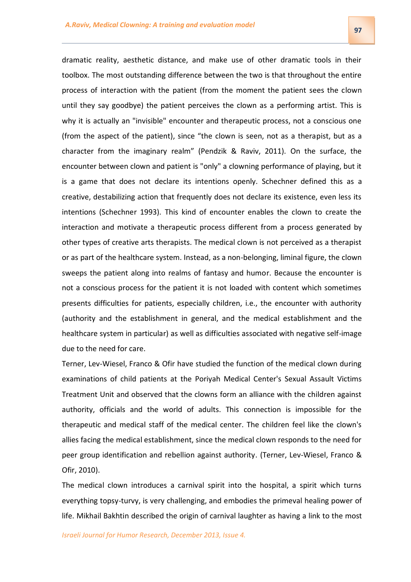dramatic reality, aesthetic distance, and make use of other dramatic tools in their toolbox. The most outstanding difference between the two is that throughout the entire process of interaction with the patient (from the moment the patient sees the clown until they say goodbye) the patient perceives the clown as a performing artist. This is why it is actually an "invisible" encounter and therapeutic process, not a conscious one (from the aspect of the patient), since "the clown is seen, not as a therapist, but as a character from the imaginary realm" (Pendzik & Raviv, 2011). On the surface, the encounter between clown and patient is "only" a clowning performance of playing, but it is a game that does not declare its intentions openly. Schechner defined this as a creative, destabilizing action that frequently does not declare its existence, even less its intentions (Schechner 1993). This kind of encounter enables the clown to create the interaction and motivate a therapeutic process different from a process generated by other types of creative arts therapists. The medical clown is not perceived as a therapist or as part of the healthcare system. Instead, as a non-belonging, liminal figure, the clown sweeps the patient along into realms of fantasy and humor. Because the encounter is not a conscious process for the patient it is not loaded with content which sometimes presents difficulties for patients, especially children, i.e., the encounter with authority (authority and the establishment in general, and the medical establishment and the healthcare system in particular) as well as difficulties associated with negative self-image due to the need for care.

Terner, Lev-Wiesel, Franco & Ofir have studied the function of the medical clown during examinations of child patients at the Poriyah Medical Center's Sexual Assault Victims Treatment Unit and observed that the clowns form an alliance with the children against authority, officials and the world of adults. This connection is impossible for the therapeutic and medical staff of the medical center. The children feel like the clown's allies facing the medical establishment, since the medical clown responds to the need for peer group identification and rebellion against authority. (Terner, Lev-Wiesel, Franco & Ofir, 2010).

The medical clown introduces a carnival spirit into the hospital, a spirit which turns everything topsy-turvy, is very challenging, and embodies the primeval healing power of life. Mikhail Bakhtin described the origin of carnival laughter as having a link to the most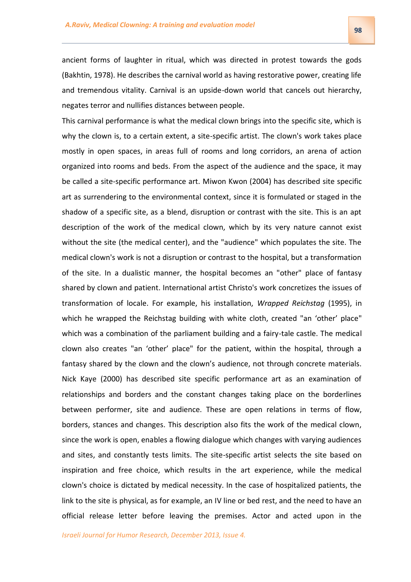**59**

ancient forms of laughter in ritual, which was directed in protest towards the gods (Bakhtin, 1978). He describes the carnival world as having restorative power, creating life and tremendous vitality. Carnival is an upside-down world that cancels out hierarchy, negates terror and nullifies distances between people.

This carnival performance is what the medical clown brings into the specific site, which is why the clown is, to a certain extent, a site-specific artist. The clown's work takes place mostly in open spaces, in areas full of rooms and long corridors, an arena of action organized into rooms and beds. From the aspect of the audience and the space, it may be called a site-specific performance art. Miwon Kwon (2004) has described site specific art as surrendering to the environmental context, since it is formulated or staged in the shadow of a specific site, as a blend, disruption or contrast with the site. This is an apt description of the work of the medical clown, which by its very nature cannot exist without the site (the medical center), and the "audience" which populates the site. The medical clown's work is not a disruption or contrast to the hospital, but a transformation of the site. In a dualistic manner, the hospital becomes an "other" place of fantasy shared by clown and patient. International artist Christo's work concretizes the issues of transformation of locale. For example, his installation, *Wrapped Reichstag* (1995), in which he wrapped the Reichstag building with white cloth, created "an 'other' place" which was a combination of the parliament building and a fairy-tale castle. The medical clown also creates "an 'other' place" for the patient, within the hospital, through a fantasy shared by the clown and the clown's audience, not through concrete materials. Nick Kaye (2000) has described site specific performance art as an examination of relationships and borders and the constant changes taking place on the borderlines between performer, site and audience. These are open relations in terms of flow, borders, stances and changes. This description also fits the work of the medical clown, since the work is open, enables a flowing dialogue which changes with varying audiences and sites, and constantly tests limits. The site-specific artist selects the site based on inspiration and free choice, which results in the art experience, while the medical clown's choice is dictated by medical necessity. In the case of hospitalized patients, the link to the site is physical, as for example, an IV line or bed rest, and the need to have an official release letter before leaving the premises. Actor and acted upon in the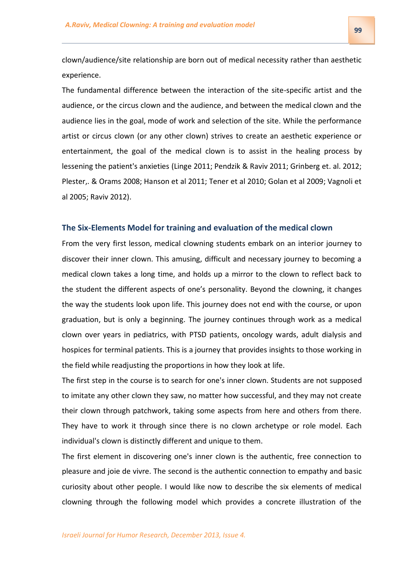clown/audience/site relationship are born out of medical necessity rather than aesthetic experience.

The fundamental difference between the interaction of the site-specific artist and the audience, or the circus clown and the audience, and between the medical clown and the audience lies in the goal, mode of work and selection of the site. While the performance artist or circus clown (or any other clown) strives to create an aesthetic experience or entertainment, the goal of the medical clown is to assist in the healing process by lessening the patient's anxieties (Linge 2011; Pendzik & Raviv 2011; Grinberg et. al. 2012; Plester,. & Orams 2008; Hanson et al 2011; Tener et al 2010; Golan et al 2009; Vagnoli et al 2005; Raviv 2012).

### **The Six-Elements Model for training and evaluation of the medical clown**

From the very first lesson, medical clowning students embark on an interior journey to discover their inner clown. This amusing, difficult and necessary journey to becoming a medical clown takes a long time, and holds up a mirror to the clown to reflect back to the student the different aspects of one's personality. Beyond the clowning, it changes the way the students look upon life. This journey does not end with the course, or upon graduation, but is only a beginning. The journey continues through work as a medical clown over years in pediatrics, with PTSD patients, oncology wards, adult dialysis and hospices for terminal patients. This is a journey that provides insights to those working in the field while readjusting the proportions in how they look at life.

The first step in the course is to search for one's inner clown. Students are not supposed to imitate any other clown they saw, no matter how successful, and they may not create their clown through patchwork, taking some aspects from here and others from there. They have to work it through since there is no clown archetype or role model. Each individual's clown is distinctly different and unique to them.

The first element in discovering one's inner clown is the authentic, free connection to pleasure and joie de vivre. The second is the authentic connection to empathy and basic curiosity about other people. I would like now to describe the six elements of medical clowning through the following model which provides a concrete illustration of the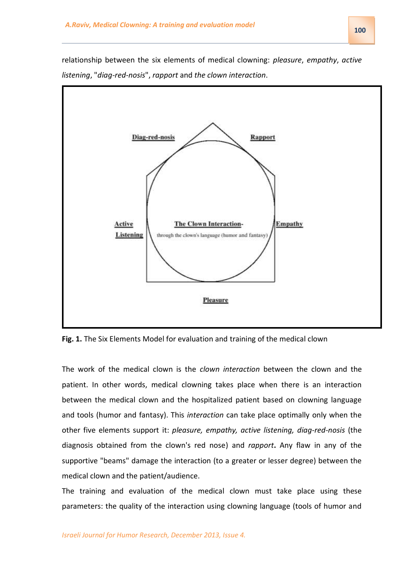

relationship between the six elements of medical clowning: *pleasure*, *empathy*, *active listening*, "*diag-red-nosis*", *rapport* and *the clown interaction*.

**Fig. 1.** The Six Elements Model for evaluation and training of the medical clown

The work of the medical clown is the *clown interaction* between the clown and the patient. In other words, medical clowning takes place when there is an interaction between the medical clown and the hospitalized patient based on clowning language and tools (humor and fantasy). This *interaction* can take place optimally only when the other five elements support it: *pleasure, empathy, active listening, diag-red-nosis* (the diagnosis obtained from the clown's red nose) and *rapport***.** Any flaw in any of the supportive "beams" damage the interaction (to a greater or lesser degree) between the medical clown and the patient/audience.

The training and evaluation of the medical clown must take place using these parameters: the quality of the interaction using clowning language (tools of humor and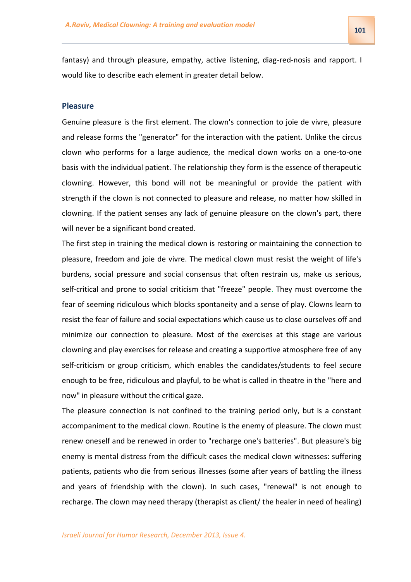fantasy) and through pleasure, empathy, active listening, diag-red-nosis and rapport. I would like to describe each element in greater detail below.

#### **Pleasure**

Genuine pleasure is the first element. The clown's connection to joie de vivre, pleasure and release forms the "generator" for the interaction with the patient. Unlike the circus clown who performs for a large audience, the medical clown works on a one-to-one basis with the individual patient. The relationship they form is the essence of therapeutic clowning. However, this bond will not be meaningful or provide the patient with strength if the clown is not connected to pleasure and release, no matter how skilled in clowning. If the patient senses any lack of genuine pleasure on the clown's part, there will never be a significant bond created.

The first step in training the medical clown is restoring or maintaining the connection to pleasure, freedom and joie de vivre. The medical clown must resist the weight of life's burdens, social pressure and social consensus that often restrain us, make us serious, self-critical and prone to social criticism that "freeze" people. They must overcome the fear of seeming ridiculous which blocks spontaneity and a sense of play. Clowns learn to resist the fear of failure and social expectations which cause us to close ourselves off and minimize our connection to pleasure. Most of the exercises at this stage are various clowning and play exercises for release and creating a supportive atmosphere free of any self-criticism or group criticism, which enables the candidates/students to feel secure enough to be free, ridiculous and playful, to be what is called in theatre in the "here and now" in pleasure without the critical gaze.

The pleasure connection is not confined to the training period only, but is a constant accompaniment to the medical clown. Routine is the enemy of pleasure. The clown must renew oneself and be renewed in order to "recharge one's batteries". But pleasure's big enemy is mental distress from the difficult cases the medical clown witnesses: suffering patients, patients who die from serious illnesses (some after years of battling the illness and years of friendship with the clown). In such cases, "renewal" is not enough to recharge. The clown may need therapy (therapist as client/ the healer in need of healing)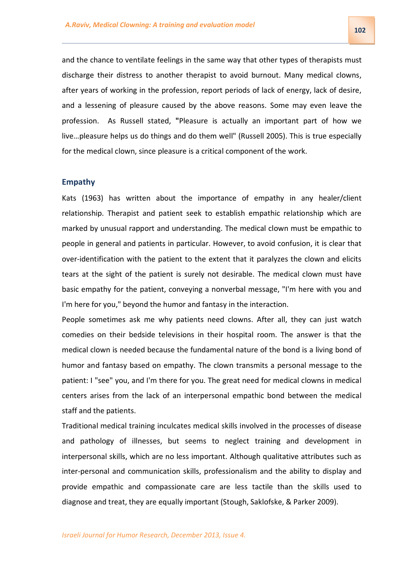and the chance to ventilate feelings in the same way that other types of therapists must discharge their distress to another therapist to avoid burnout. Many medical clowns, after years of working in the profession, report periods of lack of energy, lack of desire, and a lessening of pleasure caused by the above reasons. Some may even leave the profession. As Russell stated, **"**Pleasure is actually an important part of how we live…pleasure helps us do things and do them well" (Russell 2005). This is true especially for the medical clown, since pleasure is a critical component of the work.

#### **Empathy**

Kats (1963) has written about the importance of empathy in any healer/client relationship. Therapist and patient seek to establish empathic relationship which are marked by unusual rapport and understanding. The medical clown must be empathic to people in general and patients in particular. However, to avoid confusion, it is clear that over-identification with the patient to the extent that it paralyzes the clown and elicits tears at the sight of the patient is surely not desirable. The medical clown must have basic empathy for the patient, conveying a nonverbal message, "I'm here with you and I'm here for you," beyond the humor and fantasy in the interaction.

People sometimes ask me why patients need clowns. After all, they can just watch comedies on their bedside televisions in their hospital room. The answer is that the medical clown is needed because the fundamental nature of the bond is a living bond of humor and fantasy based on empathy. The clown transmits a personal message to the patient: I "see" you, and I'm there for you. The great need for medical clowns in medical centers arises from the lack of an interpersonal empathic bond between the medical staff and the patients.

Traditional medical training inculcates medical skills involved in the processes of disease and pathology of illnesses, but seems to neglect training and development in interpersonal skills, which are no less important. Although qualitative attributes such as inter-personal and communication skills, professionalism and the ability to display and provide empathic and compassionate care are less tactile than the skills used to diagnose and treat, they are equally important (Stough, Saklofske, & Parker 2009).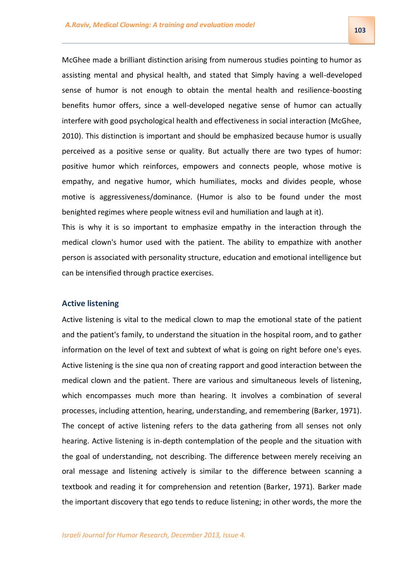McGhee made a brilliant distinction arising from numerous studies pointing to humor as assisting mental and physical health, and stated that Simply having a well-developed sense of humor is not enough to obtain the mental health and resilience-boosting benefits humor offers, since a well-developed negative sense of humor can actually interfere with good psychological health and effectiveness in social interaction (McGhee, 2010). This distinction is important and should be emphasized because humor is usually perceived as a positive sense or quality. But actually there are two types of humor: positive humor which reinforces, empowers and connects people, whose motive is empathy, and negative humor, which humiliates, mocks and divides people, whose motive is aggressiveness/dominance. (Humor is also to be found under the most benighted regimes where people witness evil and humiliation and laugh at it).

This is why it is so important to emphasize empathy in the interaction through the medical clown's humor used with the patient. The ability to empathize with another person is associated with personality structure, education and emotional intelligence but can be intensified through practice exercises.

### **Active listening**

Active listening is vital to the medical clown to map the emotional state of the patient and the patient's family, to understand the situation in the hospital room, and to gather information on the level of text and subtext of what is going on right before one's eyes. Active listening is the sine qua non of creating rapport and good interaction between the medical clown and the patient. There are various and simultaneous levels of listening, which encompasses much more than hearing. It involves a combination of several processes, including attention, hearing, understanding, and remembering (Barker, 1971). The concept of active listening refers to the data gathering from all senses not only hearing. Active listening is in-depth contemplation of the people and the situation with the goal of understanding, not describing. The difference between merely receiving an oral message and listening actively is similar to the difference between scanning a textbook and reading it for comprehension and retention (Barker, 1971). Barker made the important discovery that ego tends to reduce listening; in other words, the more the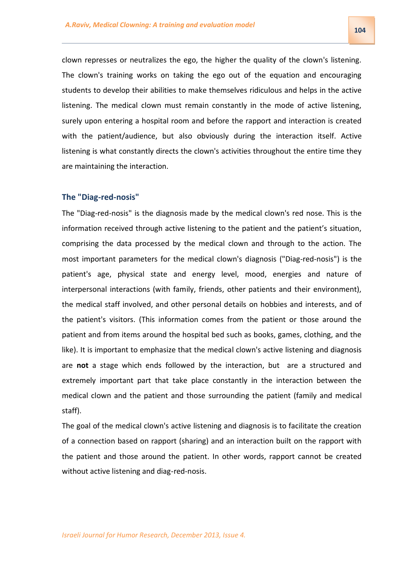104

clown represses or neutralizes the ego, the higher the quality of the clown's listening. The clown's training works on taking the ego out of the equation and encouraging students to develop their abilities to make themselves ridiculous and helps in the active listening. The medical clown must remain constantly in the mode of active listening, surely upon entering a hospital room and before the rapport and interaction is created with the patient/audience, but also obviously during the interaction itself. Active listening is what constantly directs the clown's activities throughout the entire time they are maintaining the interaction.

## **The "Diag-red-nosis"**

The "Diag-red-nosis" is the diagnosis made by the medical clown's red nose. This is the information received through active listening to the patient and the patient's situation, comprising the data processed by the medical clown and through to the action. The most important parameters for the medical clown's diagnosis ("Diag-red-nosis") is the patient's age, physical state and energy level, mood, energies and nature of interpersonal interactions (with family, friends, other patients and their environment), the medical staff involved, and other personal details on hobbies and interests, and of the patient's visitors. (This information comes from the patient or those around the patient and from items around the hospital bed such as books, games, clothing, and the like). It is important to emphasize that the medical clown's active listening and diagnosis are **not** a stage which ends followed by the interaction, but are a structured and extremely important part that take place constantly in the interaction between the medical clown and the patient and those surrounding the patient (family and medical staff).

The goal of the medical clown's active listening and diagnosis is to facilitate the creation of a connection based on rapport (sharing) and an interaction built on the rapport with the patient and those around the patient. In other words, rapport cannot be created without active listening and diag-red-nosis.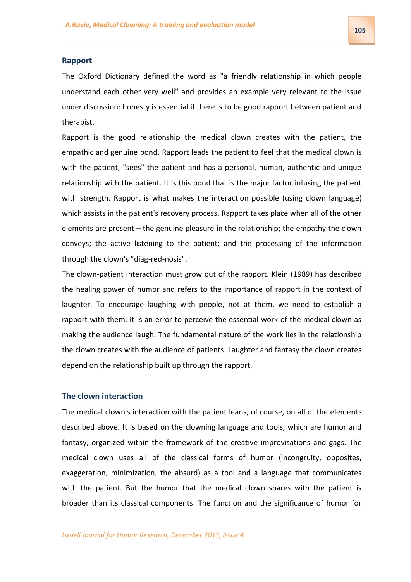### **Rapport**

The Oxford Dictionary defined the word as "a friendly relationship in which people understand each other very well" and provides an example very relevant to the issue under discussion: honesty is essential if there is to be good rapport between patient and therapist.

Rapport is the good relationship the medical clown creates with the patient, the empathic and genuine bond. Rapport leads the patient to feel that the medical clown is with the patient, "sees" the patient and has a personal, human, authentic and unique relationship with the patient. It is this bond that is the major factor infusing the patient with strength. Rapport is what makes the interaction possible (using clown language) which assists in the patient's recovery process. Rapport takes place when all of the other elements are present – the genuine pleasure in the relationship; the empathy the clown conveys; the active listening to the patient; and the processing of the information through the clown's "diag-red-nosis".

The clown-patient interaction must grow out of the rapport. Klein (1989) has described the healing power of humor and refers to the importance of rapport in the context of laughter. To encourage laughing with people, not at them, we need to establish a rapport with them. It is an error to perceive the essential work of the medical clown as making the audience laugh. The fundamental nature of the work lies in the relationship the clown creates with the audience of patients. Laughter and fantasy the clown creates depend on the relationship built up through the rapport.

### **The clown interaction**

The medical clown's interaction with the patient leans, of course, on all of the elements described above. It is based on the clowning language and tools, which are humor and fantasy, organized within the framework of the creative improvisations and gags. The medical clown uses all of the classical forms of humor (incongruity, opposites, exaggeration, minimization, the absurd) as a tool and a language that communicates with the patient. But the humor that the medical clown shares with the patient is broader than its classical components. The function and the significance of humor for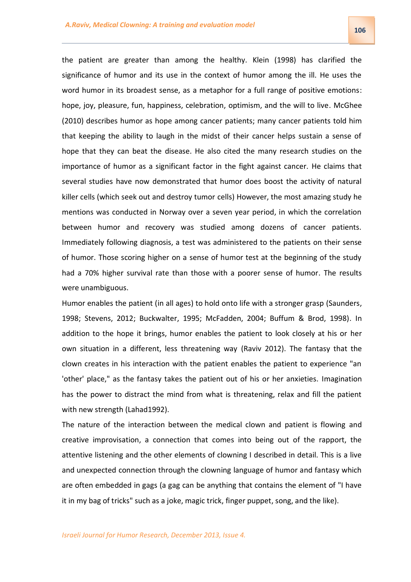the patient are greater than among the healthy. Klein (1998) has clarified the significance of humor and its use in the context of humor among the ill. He uses the word humor in its broadest sense, as a metaphor for a full range of positive emotions: hope, joy, pleasure, fun, happiness, celebration, optimism, and the will to live. McGhee (2010) describes humor as hope among cancer patients; many cancer patients told him that keeping the ability to laugh in the midst of their cancer helps sustain a sense of hope that they can beat the disease. He also cited the many research studies on the importance of humor as a significant factor in the fight against cancer. He claims that several studies have now demonstrated that humor does boost the activity of natural killer cells (which seek out and destroy tumor cells) However, the most amazing study he mentions was conducted in Norway over a seven year period, in which the correlation between humor and recovery was studied among dozens of cancer patients. Immediately following diagnosis, a test was administered to the patients on their sense of humor. Those scoring higher on a sense of humor test at the beginning of the study had a 70% higher survival rate than those with a poorer sense of humor. The results were unambiguous.

Humor enables the patient (in all ages) to hold onto life with a stronger grasp (Saunders, 1998; Stevens, 2012; Buckwalter, 1995; McFadden, 2004; Buffum & Brod, 1998). In addition to the hope it brings, humor enables the patient to look closely at his or her own situation in a different, less threatening way (Raviv 2012). The fantasy that the clown creates in his interaction with the patient enables the patient to experience "an 'other' place," as the fantasy takes the patient out of his or her anxieties. Imagination has the power to distract the mind from what is threatening, relax and fill the patient with new strength (Lahad1992).

The nature of the interaction between the medical clown and patient is flowing and creative improvisation, a connection that comes into being out of the rapport, the attentive listening and the other elements of clowning I described in detail. This is a live and unexpected connection through the clowning language of humor and fantasy which are often embedded in gags (a gag can be anything that contains the element of "I have it in my bag of tricks" such as a joke, magic trick, finger puppet, song, and the like).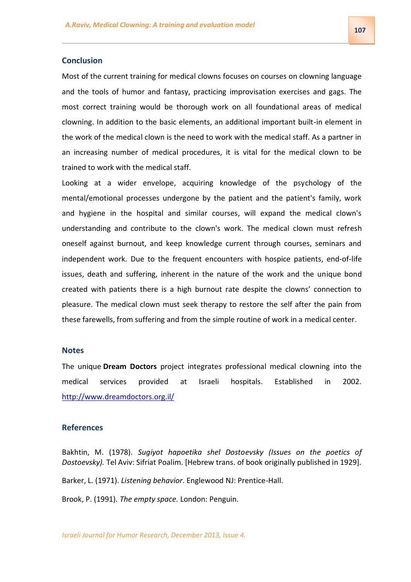### **Conclusion**

Most of the current training for medical clowns focuses on courses on clowning language and the tools of humor and fantasy, practicing improvisation exercises and gags. The most correct training would be thorough work on all foundational areas of medical clowning. In addition to the basic elements, an additional important built-in element in the work of the medical clown is the need to work with the medical staff. As a partner in an increasing number of medical procedures, it is vital for the medical clown to be trained to work with the medical staff.

Looking at a wider envelope, acquiring knowledge of the psychology of the mental/emotional processes undergone by the patient and the patient's family, work and hygiene in the hospital and similar courses, will expand the medical clown's understanding and contribute to the clown's work. The medical clown must refresh oneself against burnout, and keep knowledge current through courses, seminars and independent work. Due to the frequent encounters with hospice patients, end-of-life issues, death and suffering, inherent in the nature of the work and the unique bond created with patients there is a high burnout rate despite the clowns' connection to pleasure. The medical clown must seek therapy to restore the self after the pain from these farewells, from suffering and from the simple routine of work in a medical center.

### **Notes**

The unique **Dream Doctors** project integrates professional medical clowning into the medical services provided at Israeli hospitals. Established in 2002. <http://www.dreamdoctors.org.il/>

## **References**

Bakhtin, M. (1978). *Sugiyot hapoetika shel Dostoevsky (Issues on the poetics of Dostoevsky).* Tel Aviv: Sifriat Poalim. [Hebrew trans. of book originally published in 1929].

Barker, L. (1971). *Listening behavior*. Englewood NJ: Prentice-Hall.

Brook, P. (1991). *The empty space.* London: Penguin.

*Israeli Journal for Humor Research, December 2013, Issue 4.*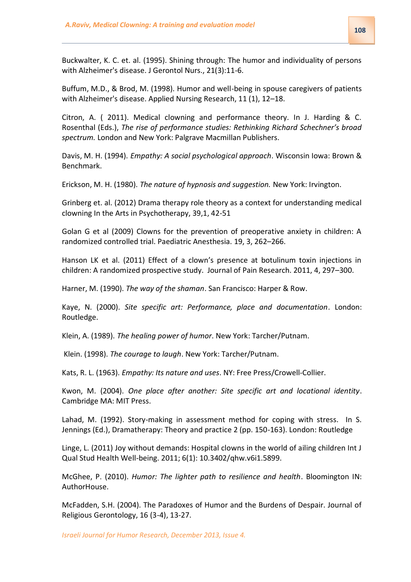Buckwalter, K. C. et. al. (1995). Shining through: The humor and individuality of persons with Alzheimer's disease. J Gerontol Nurs., 21(3):11-6.

Buffum, M.D., & Brod, M. (1998). Humor and well-being in spouse caregivers of patients with Alzheimer's disease. Applied Nursing Research, 11 (1), 12–18.

Citron, A. ( 2011). Medical clowning and performance theory. In J. Harding & C. Rosenthal (Eds.), *The rise of performance studies: Rethinking Richard Schechner's broad spectrum.* London and New York: Palgrave Macmillan Publishers.

Davis, M. H. (1994). *Empathy: A social psychological approach*. Wisconsin Iowa: Brown & Benchmark.

Erickson, M. H. (1980). *The nature of hypnosis and suggestion.* New York: Irvington.

Grinberg et. al. (2012) Drama therapy role theory as a context for understanding medical clowning In the Arts in Psychotherapy, 39,1, 42-51

Golan G et al (2009) Clowns for the prevention of preoperative anxiety in children: A randomized controlled trial. Paediatric Anesthesia. 19, 3, 262–266.

Hanson LK et al. (2011) Effect of a clown's presence at botulinum toxin injections in children: A randomized prospective study. Journal of Pain Research. 2011, 4, 297–300.

Harner, M. (1990). *The way of the shaman*. San Francisco: Harper & Row.

Kaye, N. (2000). *Site specific art: Performance, place and documentation*. London: Routledge.

Klein, A. (1989). *The healing power of humor*. New York: Tarcher/Putnam.

Klein. (1998). *The courage to laugh*. New York: Tarcher/Putnam.

Kats, R. L. (1963). *Empathy: Its nature and uses*. NY: Free Press/Crowell-Collier.

Kwon, M. (2004). *One place after another: Site specific art and locational identity*. Cambridge MA: MIT Press.

Lahad, M. (1992). Story-making in assessment method for coping with stress. In S. Jennings (Ed.), Dramatherapy: Theory and practice 2 (pp. 150-163). London: Routledge

Linge, L. (2011) Joy without demands: Hospital clowns in the world of ailing children Int J Qual Stud Health Well-being. 2011; 6(1): 10.3402/qhw.v6i1.5899.

McGhee, P. (2010). *Humor: The lighter path to resilience and health*. Bloomington IN: AuthorHouse.

McFadden, S.H. (2004). The Paradoxes of Humor and the Burdens of Despair. Journal of Religious Gerontology, 16 (3-4), 13-27.

*Israeli Journal for Humor Research, December 2013, Issue 4.*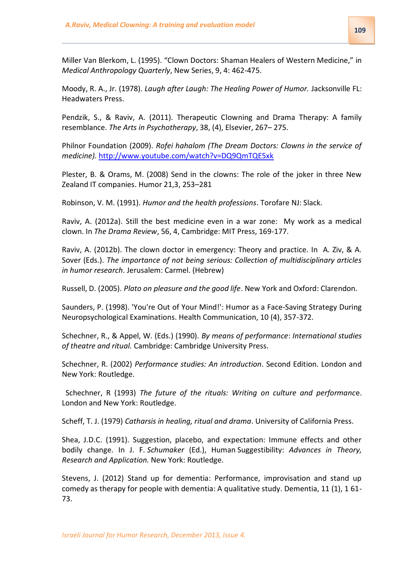Miller Van Blerkom, L. (1995). "Clown Doctors: Shaman Healers of Western Medicine," in *Medical Anthropology Quarterly*, New Series, 9, 4: 462-475.

Moody, R. A., Jr. (1978). *Laugh after Laugh: The Healing Power of Humor.* Jacksonville FL: Headwaters Press.

Pendzik, S., & Raviv, A. (2011). Therapeutic Clowning and Drama Therapy: A family resemblance. *The Arts in Psychotherapy*, 38, (4), Elsevier, 267– 275.

Philnor Foundation (2009). *Rofei hahalom (The Dream Doctors: Clowns in the service of medicine).* <http://www.youtube.com/watch?v=DQ9QmTQE5xk>

Plester, B. & Orams, M. (2008) Send in the clowns: The role of the joker in three New Zealand IT companies. Humor 21,3, 253–281

Robinson, V. M. (1991). *Humor and the health professions*. Torofare NJ: Slack.

Raviv, A. (2012a). Still the best medicine even in a war zone: My work as a medical clown. In *The Drama Review*, 56, 4, Cambridge: MIT Press, 169-177.

Raviv, A. (2012b). The clown doctor in emergency: Theory and practice. In A. Ziv, & A. Sover (Eds.). *The importance of not being serious: Collection of multidisciplinary articles in humor research*. Jerusalem: Carmel. (Hebrew)

Russell, D. (2005). *Plato on pleasure and the good life*. New York and Oxford: Clarendon.

Saunders, P. (1998). 'You're Out of Your Mind!': Humor as a Face-Saving Strategy During Neuropsychological Examinations. Health Communication, 10 (4), 357-372.

Schechner, R., & Appel, W. (Eds.) (1990). *By means of performance*: *International studies of theatre and ritual.* Cambridge: Cambridge University Press.

Schechner, R. (2002) *Performance studies: An introduction*. Second Edition. London and New York: Routledge.

Schechner, R (1993) *The future of the rituals: Writing on culture and performanc*e. London and New York: Routledge.

Scheff, T. J. (1979) *Catharsis in healing, ritual and drama*. University of California Press.

Shea, J.D.C. (1991). Suggestion, placebo, and expectation: Immune effects and other bodily change. In J. F. *Schumaker* (Ed.), Human Suggestibility: *Advances in Theory, Research and Application.* New York: Routledge.

Stevens, J. (2012) Stand up for dementia: Performance, improvisation and stand up comedy as therapy for people with dementia: A qualitative study. Dementia, 11 (1), 1 61- 73.